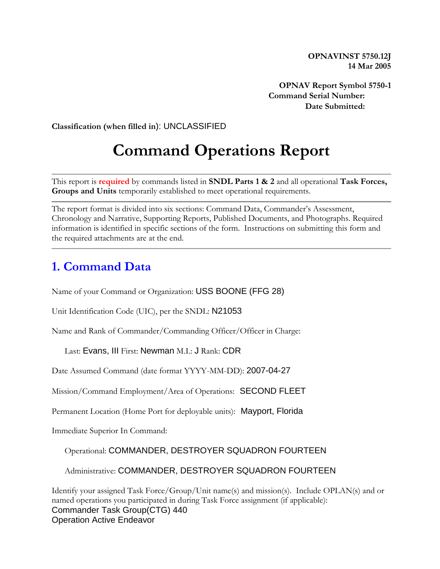**OPNAVINST 5750.12J 14 Mar 2005**

**OPNAV Report Symbol 5750-1 Command Serial Number: Date Submitted:** 

**Classification (when filled in**): UNCLASSIFIED

# **Command Operations Report**

This report is **required** by commands listed in **SNDL Parts 1 & 2** and all operational **Task Forces, Groups and Units** temporarily established to meet operational requirements.

The report format is divided into six sections: Command Data, Commander's Assessment, Chronology and Narrative, Supporting Reports, Published Documents, and Photographs. Required information is identified in specific sections of the form. Instructions on submitting this form and the required attachments are at the end.

#### **1. Command Data**

Name of your Command or Organization: USS BOONE (FFG 28)

Unit Identification Code (UIC), per the SNDL: N21053

Name and Rank of Commander/Commanding Officer/Officer in Charge:

Last: Evans, III First: Newman M.I.: J Rank: CDR

Date Assumed Command (date format YYYY-MM-DD): 2007-04-27

Mission/Command Employment/Area of Operations: SECOND FLEET

Permanent Location (Home Port for deployable units): Mayport, Florida

Immediate Superior In Command:

Operational: COMMANDER, DESTROYER SQUADRON FOURTEEN

Administrative: COMMANDER, DESTROYER SQUADRON FOURTEEN

Identify your assigned Task Force/Group/Unit name(s) and mission(s). Include OPLAN(s) and or named operations you participated in during Task Force assignment (if applicable): Commander Task Group(CTG) 440 Operation Active Endeavor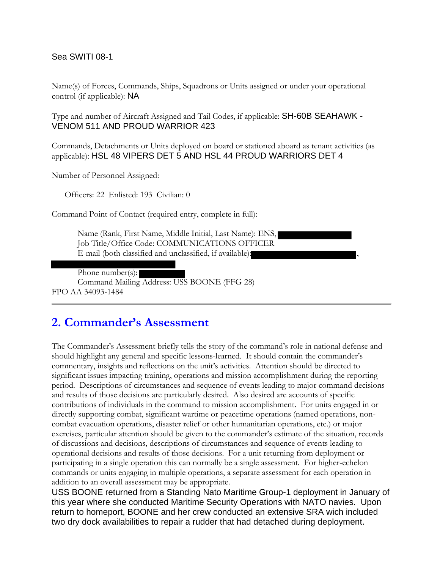#### Sea SWITI 08-1

Name(s) of Forces, Commands, Ships, Squadrons or Units assigned or under your operational control (if applicable): NA

Type and number of Aircraft Assigned and Tail Codes, if applicable: SH-60B SEAHAWK - VENOM 511 AND PROUD WARRIOR 423

Commands, Detachments or Units deployed on board or stationed aboard as tenant activities (as applicable): HSL 48 VIPERS DET 5 AND HSL 44 PROUD WARRIORS DET 4

Number of Personnel Assigned:

Officers: 22 Enlisted: 193 Civilian: 0

Command Point of Contact (required entry, complete in full):

Name (Rank, First Name, Middle Initial, Last Name): ENS, Job Title/Office Code: COMMUNICATIONS OFFICER E-mail (both classified and unclassified, if available):

Phone number(s):

Command Mailing Address: USS BOONE (FFG 28) FPO AA 34093-1484

#### **2. Commander's Assessment**

The Commander's Assessment briefly tells the story of the command's role in national defense and should highlight any general and specific lessons-learned. It should contain the commander's commentary, insights and reflections on the unit's activities. Attention should be directed to significant issues impacting training, operations and mission accomplishment during the reporting period. Descriptions of circumstances and sequence of events leading to major command decisions and results of those decisions are particularly desired. Also desired are accounts of specific contributions of individuals in the command to mission accomplishment. For units engaged in or directly supporting combat, significant wartime or peacetime operations (named operations, noncombat evacuation operations, disaster relief or other humanitarian operations, etc.) or major exercises, particular attention should be given to the commander's estimate of the situation, records of discussions and decisions, descriptions of circumstances and sequence of events leading to operational decisions and results of those decisions. For a unit returning from deployment or participating in a single operation this can normally be a single assessment. For higher-echelon commands or units engaging in multiple operations, a separate assessment for each operation in addition to an overall assessment may be appropriate.

USS BOONE returned from a Standing Nato Maritime Group-1 deployment in January of this year where she conducted Maritime Security Operations with NATO navies. Upon return to homeport, BOONE and her crew conducted an extensive SRA wich included two dry dock availabilities to repair a rudder that had detached during deployment.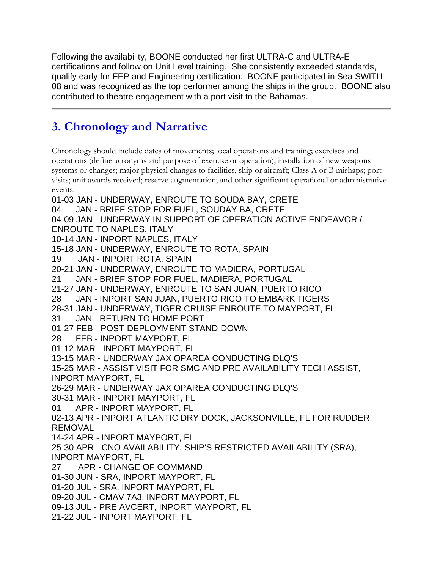Following the availability, BOONE conducted her first ULTRA-C and ULTRA-E certifications and follow on Unit Level training. She consistently exceeded standards, qualify early for FEP and Engineering certification. BOONE participated in Sea SWITI1- 08 and was recognized as the top performer among the ships in the group. BOONE also contributed to theatre engagement with a port visit to the Bahamas.

### **3. Chronology and Narrative**

Chronology should include dates of movements; local operations and training; exercises and operations (define acronyms and purpose of exercise or operation); installation of new weapons systems or changes; major physical changes to facilities, ship or aircraft; Class A or B mishaps; port visits; unit awards received; reserve augmentation; and other significant operational or administrative events.

01-03 JAN - UNDERWAY, ENROUTE TO SOUDA BAY, CRETE 04 JAN - BRIEF STOP FOR FUEL, SOUDAY BA, CRETE 04-09 JAN - UNDERWAY IN SUPPORT OF OPERATION ACTIVE ENDEAVOR / ENROUTE TO NAPLES, ITALY 10-14 JAN - INPORT NAPLES, ITALY 15-18 JAN - UNDERWAY, ENROUTE TO ROTA, SPAIN 19 JAN - INPORT ROTA, SPAIN 20-21 JAN - UNDERWAY, ENROUTE TO MADIERA, PORTUGAL 21 JAN - BRIEF STOP FOR FUEL, MADIERA, PORTUGAL 21-27 JAN - UNDERWAY, ENROUTE TO SAN JUAN, PUERTO RICO 28 JAN - INPORT SAN JUAN, PUERTO RICO TO EMBARK TIGERS 28-31 JAN - UNDERWAY, TIGER CRUISE ENROUTE TO MAYPORT, FL 31 JAN - RETURN TO HOME PORT 01-27 FEB - POST-DEPLOYMENT STAND-DOWN 28 FEB - INPORT MAYPORT, FL 01-12 MAR - INPORT MAYPORT, FL 13-15 MAR - UNDERWAY JAX OPAREA CONDUCTING DLQ'S 15-25 MAR - ASSIST VISIT FOR SMC AND PRE AVAILABILITY TECH ASSIST, INPORT MAYPORT, FL 26-29 MAR - UNDERWAY JAX OPAREA CONDUCTING DLQ'S 30-31 MAR - INPORT MAYPORT, FL 01 APR - INPORT MAYPORT, FL 02-13 APR - INPORT ATLANTIC DRY DOCK, JACKSONVILLE, FL FOR RUDDER REMOVAL 14-24 APR - INPORT MAYPORT, FL 25-30 APR - CNO AVAILABILITY, SHIP'S RESTRICTED AVAILABILITY (SRA), INPORT MAYPORT, FL 27 APR - CHANGE OF COMMAND 01-30 JUN - SRA, INPORT MAYPORT, FL 01-20 JUL - SRA, INPORT MAYPORT, FL 09-20 JUL - CMAV 7A3, INPORT MAYPORT, FL 09-13 JUL - PRE AVCERT, INPORT MAYPORT, FL

21-22 JUL - INPORT MAYPORT, FL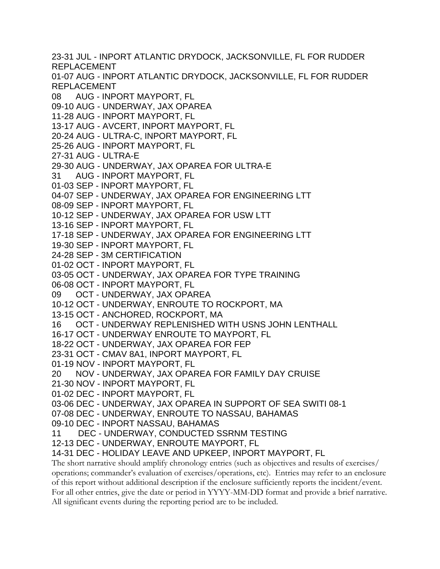23-31 JUL - INPORT ATLANTIC DRYDOCK, JACKSONVILLE, FL FOR RUDDER REPLACEMENT 01-07 AUG - INPORT ATLANTIC DRYDOCK, JACKSONVILLE, FL FOR RUDDER REPLACEMENT 08 AUG - INPORT MAYPORT, FL 09-10 AUG - UNDERWAY, JAX OPAREA 11-28 AUG - INPORT MAYPORT, FL 13-17 AUG - AVCERT, INPORT MAYPORT, FL 20-24 AUG - ULTRA-C, INPORT MAYPORT, FL 25-26 AUG - INPORT MAYPORT, FL 27-31 AUG - ULTRA-E 29-30 AUG - UNDERWAY, JAX OPAREA FOR ULTRA-E 31 AUG - INPORT MAYPORT, FL 01-03 SEP - INPORT MAYPORT, FL 04-07 SEP - UNDERWAY, JAX OPAREA FOR ENGINEERING LTT 08-09 SEP - INPORT MAYPORT, FL 10-12 SEP - UNDERWAY, JAX OPAREA FOR USW LTT 13-16 SEP - INPORT MAYPORT, FL 17-18 SEP - UNDERWAY, JAX OPAREA FOR ENGINEERING LTT 19-30 SEP - INPORT MAYPORT, FL 24-28 SEP - 3M CERTIFICATION 01-02 OCT - INPORT MAYPORT, FL 03-05 OCT - UNDERWAY, JAX OPAREA FOR TYPE TRAINING 06-08 OCT - INPORT MAYPORT, FL 09 OCT - UNDERWAY, JAX OPAREA 10-12 OCT - UNDERWAY, ENROUTE TO ROCKPORT, MA 13-15 OCT - ANCHORED, ROCKPORT, MA 16 OCT - UNDERWAY REPLENISHED WITH USNS JOHN LENTHALL 16-17 OCT - UNDERWAY ENROUTE TO MAYPORT, FL 18-22 OCT - UNDERWAY, JAX OPAREA FOR FEP 23-31 OCT - CMAV 8A1, INPORT MAYPORT, FL 01-19 NOV - INPORT MAYPORT, FL 20 NOV - UNDERWAY, JAX OPAREA FOR FAMILY DAY CRUISE 21-30 NOV - INPORT MAYPORT, FL 01-02 DEC - INPORT MAYPORT, FL 03-06 DEC - UNDERWAY, JAX OPAREA IN SUPPORT OF SEA SWITI 08-1 07-08 DEC - UNDERWAY, ENROUTE TO NASSAU, BAHAMAS 09-10 DEC - INPORT NASSAU, BAHAMAS 11 DEC - UNDERWAY, CONDUCTED SSRNM TESTING 12-13 DEC - UNDERWAY, ENROUTE MAYPORT, FL 14-31 DEC - HOLIDAY LEAVE AND UPKEEP, INPORT MAYPORT, FL The short narrative should amplify chronology entries (such as objectives and results of exercises/

operations; commander's evaluation of exercises/operations, etc). Entries may refer to an enclosure of this report without additional description if the enclosure sufficiently reports the incident/event. For all other entries, give the date or period in YYYY-MM-DD format and provide a brief narrative. All significant events during the reporting period are to be included.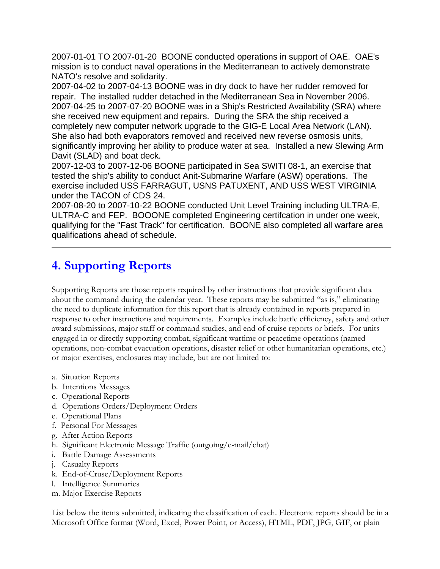2007-01-01 TO 2007-01-20 BOONE conducted operations in support of OAE. OAE's mission is to conduct naval operations in the Mediterranean to actively demonstrate NATO's resolve and solidarity.

2007-04-02 to 2007-04-13 BOONE was in dry dock to have her rudder removed for repair. The installed rudder detached in the Mediterranean Sea in November 2006. 2007-04-25 to 2007-07-20 BOONE was in a Ship's Restricted Availability (SRA) where she received new equipment and repairs. During the SRA the ship received a completely new computer network upgrade to the GIG-E Local Area Network (LAN). She also had both evaporators removed and received new reverse osmosis units, significantly improving her ability to produce water at sea. Installed a new Slewing Arm Davit (SLAD) and boat deck.

2007-12-03 to 2007-12-06 BOONE participated in Sea SWITI 08-1, an exercise that tested the ship's ability to conduct Anit-Submarine Warfare (ASW) operations. The exercise included USS FARRAGUT, USNS PATUXENT, AND USS WEST VIRGINIA under the TACON of CDS 24.

2007-08-20 to 2007-10-22 BOONE conducted Unit Level Training including ULTRA-E, ULTRA-C and FEP. BOOONE completed Engineering certifcation in under one week, qualifying for the "Fast Track" for certification. BOONE also completed all warfare area qualifications ahead of schedule.

## **4. Supporting Reports**

Supporting Reports are those reports required by other instructions that provide significant data about the command during the calendar year. These reports may be submitted "as is," eliminating the need to duplicate information for this report that is already contained in reports prepared in response to other instructions and requirements. Examples include battle efficiency, safety and other award submissions, major staff or command studies, and end of cruise reports or briefs. For units engaged in or directly supporting combat, significant wartime or peacetime operations (named operations, non-combat evacuation operations, disaster relief or other humanitarian operations, etc.) or major exercises, enclosures may include, but are not limited to:

- a. Situation Reports
- b. Intentions Messages
- c. Operational Reports
- d. Operations Orders/Deployment Orders
- e. Operational Plans
- f. Personal For Messages
- g. After Action Reports
- h. Significant Electronic Message Traffic (outgoing/e-mail/chat)
- i. Battle Damage Assessments
- j. Casualty Reports
- k. End-of-Cruse/Deployment Reports
- l. Intelligence Summaries
- m. Major Exercise Reports

List below the items submitted, indicating the classification of each. Electronic reports should be in a Microsoft Office format (Word, Excel, Power Point, or Access), HTML, PDF, JPG, GIF, or plain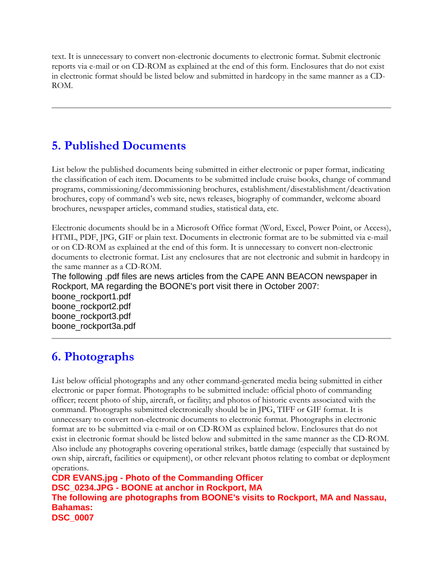text. It is unnecessary to convert non-electronic documents to electronic format. Submit electronic reports via e-mail or on CD-ROM as explained at the end of this form. Enclosures that do not exist in electronic format should be listed below and submitted in hardcopy in the same manner as a CD-ROM.

### **5. Published Documents**

List below the published documents being submitted in either electronic or paper format, indicating the classification of each item. Documents to be submitted include cruise books, change of command programs, commissioning/decommissioning brochures, establishment/disestablishment/deactivation brochures, copy of command's web site, news releases, biography of commander, welcome aboard brochures, newspaper articles, command studies, statistical data, etc.

Electronic documents should be in a Microsoft Office format (Word, Excel, Power Point, or Access), HTML, PDF, JPG, GIF or plain text. Documents in electronic format are to be submitted via e-mail or on CD-ROM as explained at the end of this form. It is unnecessary to convert non-electronic documents to electronic format. List any enclosures that are not electronic and submit in hardcopy in the same manner as a CD-ROM.

The following .pdf files are news articles from the CAPE ANN BEACON newspaper in Rockport, MA regarding the BOONE's port visit there in October 2007:

boone\_rockport1.pdf boone\_rockport2.pdf boone\_rockport3.pdf boone\_rockport3a.pdf

## **6. Photographs**

List below official photographs and any other command-generated media being submitted in either electronic or paper format. Photographs to be submitted include: official photo of commanding officer; recent photo of ship, aircraft, or facility; and photos of historic events associated with the command. Photographs submitted electronically should be in JPG, TIFF or GIF format. It is unnecessary to convert non-electronic documents to electronic format. Photographs in electronic format are to be submitted via e-mail or on CD-ROM as explained below. Enclosures that do not exist in electronic format should be listed below and submitted in the same manner as the CD-ROM. Also include any photographs covering operational strikes, battle damage (especially that sustained by own ship, aircraft, facilities or equipment), or other relevant photos relating to combat or deployment operations.

**CDR EVANS.jpg - Photo of the Commanding Officer DSC\_0234.JPG - BOONE at anchor in Rockport, MA The following are photographs from BOONE's visits to Rockport, MA and Nassau, Bahamas: DSC\_0007**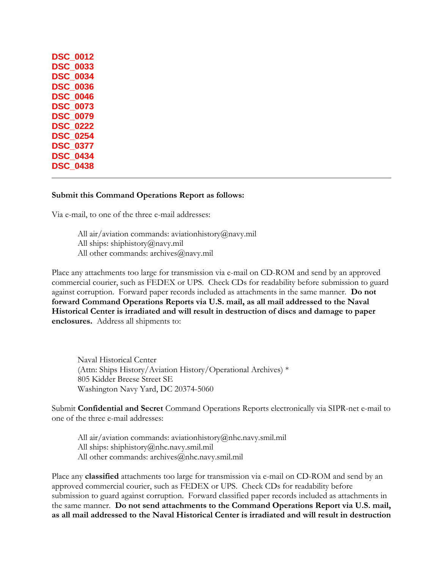| DSC        | 0012 |
|------------|------|
| DSC        | 0033 |
| <b>DSC</b> | 0034 |
| <b>DSC</b> | 0036 |
| <b>DSC</b> | 0046 |
| <b>DSC</b> | 0073 |
| <b>DSC</b> | 0079 |
| <b>DSC</b> | 0222 |
| DSC        | 0254 |
| DSC        | 0377 |
| DSC        | 0434 |
| <b>DSC</b> | 0438 |
|            |      |

#### **Submit this Command Operations Report as follows:**

Via e-mail, to one of the three e-mail addresses:

All air/aviation commands: aviationhistory@navy.mil All ships: shiphistory@navy.mil All other commands: archives@navy.mil

Place any attachments too large for transmission via e-mail on CD-ROM and send by an approved commercial courier, such as FEDEX or UPS. Check CDs for readability before submission to guard against corruption. Forward paper records included as attachments in the same manner. **Do not forward Command Operations Reports via U.S. mail, as all mail addressed to the Naval Historical Center is irradiated and will result in destruction of discs and damage to paper enclosures.** Address all shipments to:

Naval Historical Center (Attn: Ships History/Aviation History/Operational Archives) \* 805 Kidder Breese Street SE Washington Navy Yard, DC 20374-5060

Submit **Confidential and Secret** Command Operations Reports electronically via SIPR-net e-mail to one of the three e-mail addresses:

All air/aviation commands: aviationhistory@nhc.navy.smil.mil All ships: shiphistory@nhc.navy.smil.mil All other commands: archives@nhc.navy.smil.mil

Place any **classified** attachments too large for transmission via e-mail on CD-ROM and send by an approved commercial courier, such as FEDEX or UPS. Check CDs for readability before submission to guard against corruption. Forward classified paper records included as attachments in the same manner. **Do not send attachments to the Command Operations Report via U.S. mail, as all mail addressed to the Naval Historical Center is irradiated and will result in destruction**